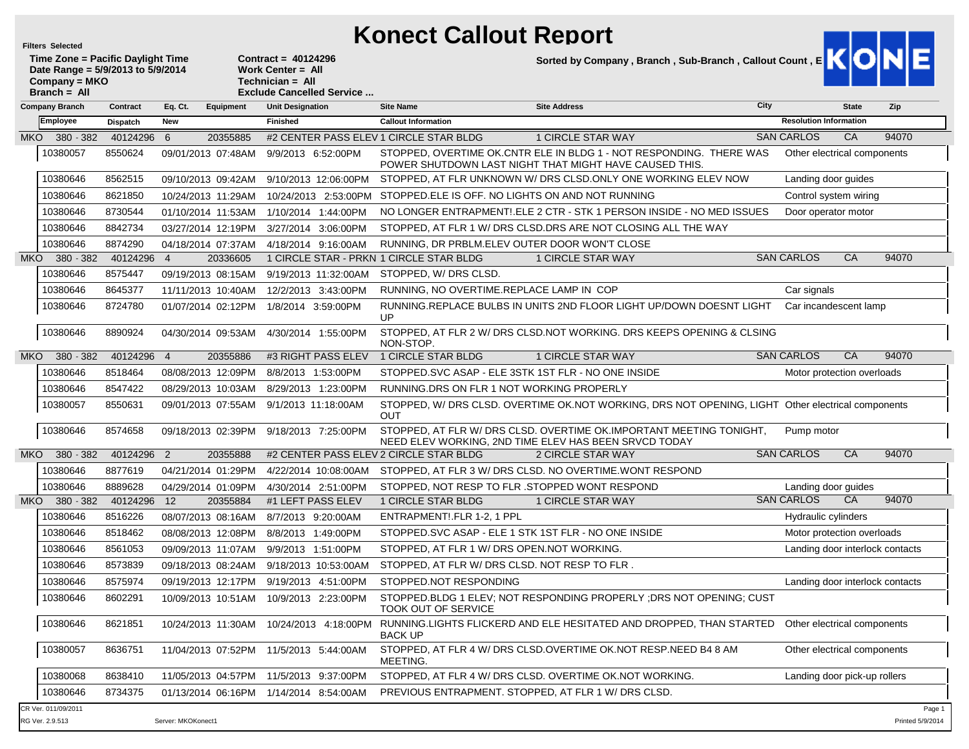ľ

## **Konect Callout Report**

|                                                                                                           | <b>Filters Selected</b>                |            |                    |                    |                                                                                                    | Konect Callout Report                                 |                                                                                                                               |      |                                 |              |                            |
|-----------------------------------------------------------------------------------------------------------|----------------------------------------|------------|--------------------|--------------------|----------------------------------------------------------------------------------------------------|-------------------------------------------------------|-------------------------------------------------------------------------------------------------------------------------------|------|---------------------------------|--------------|----------------------------|
| Time Zone = Pacific Daylight Time<br>Date Range = 5/9/2013 to 5/9/2014<br>Company = MKO<br>$Branch = All$ |                                        |            |                    |                    | Contract = $40124296$<br>Work Center = All<br>Technician = All<br><b>Exclude Cancelled Service</b> |                                                       | Sorted by Company, Branch, Sub-Branch, Callout Count, E                                                                       |      |                                 |              |                            |
|                                                                                                           | Company Branch                         | Contract   | Eq. Ct.            | Equipment          | <b>Unit Designation</b>                                                                            | <b>Site Name</b>                                      | <b>Site Address</b>                                                                                                           | City |                                 | <b>State</b> | Zip                        |
|                                                                                                           | <b>Employee</b>                        | Dispatch   | <b>New</b>         |                    | <b>Finished</b>                                                                                    | <b>Callout Information</b>                            |                                                                                                                               |      | <b>Resolution Information</b>   |              |                            |
| MKO I                                                                                                     | 380 - 382                              | 40124296 6 |                    | 20355885           | #2 CENTER PASS ELEV 1 CIRCLE STAR BLDG                                                             |                                                       | 1 CIRCLE STAR WAY                                                                                                             |      | <b>SAN CARLOS</b>               | CA           | 94070                      |
|                                                                                                           | 10380057                               | 8550624    |                    | 09/01/2013 07:48AM | 9/9/2013 6:52:00PM                                                                                 |                                                       | STOPPED, OVERTIME OK.CNTR ELE IN BLDG 1 - NOT RESPONDING. THERE WAS<br>POWER SHUTDOWN LAST NIGHT THAT MIGHT HAVE CAUSED THIS. |      | Other electrical components     |              |                            |
|                                                                                                           | 10380646                               | 8562515    |                    | 09/10/2013 09:42AM | 9/10/2013 12:06:00PM                                                                               |                                                       | STOPPED. AT FLR UNKNOWN W/ DRS CLSD.ONLY ONE WORKING ELEV NOW                                                                 |      | Landing door guides             |              |                            |
|                                                                                                           | 10380646                               | 8621850    |                    | 10/24/2013 11:29AM | 10/24/2013 2:53:00PM                                                                               | STOPPED ELE IS OFF. NO LIGHTS ON AND NOT RUNNING      |                                                                                                                               |      | Control system wiring           |              |                            |
|                                                                                                           | 10380646                               | 8730544    |                    | 01/10/2014 11:53AM | 1/10/2014 1:44:00PM                                                                                |                                                       | NO LONGER ENTRAPMENT! ELE 2 CTR - STK 1 PERSON INSIDE - NO MED ISSUES                                                         |      | Door operator motor             |              |                            |
|                                                                                                           | 10380646                               | 8842734    |                    | 03/27/2014 12:19PM | 3/27/2014 3:06:00PM                                                                                |                                                       | STOPPED, AT FLR 1 W/ DRS CLSD.DRS ARE NOT CLOSING ALL THE WAY                                                                 |      |                                 |              |                            |
|                                                                                                           | 10380646                               | 8874290    |                    | 04/18/2014 07:37AM | 4/18/2014 9:16:00AM                                                                                | RUNNING, DR PRBLM.ELEV OUTER DOOR WON'T CLOSE         |                                                                                                                               |      |                                 |              |                            |
| MKO I                                                                                                     | 380 - 382                              | 40124296   | $\overline{4}$     | 20336605           | 1 CIRCLE STAR - PRKN 1 CIRCLE STAR BLDG                                                            |                                                       | <b>1 CIRCLE STAR WAY</b>                                                                                                      |      | <b>SAN CARLOS</b>               | <b>CA</b>    | 94070                      |
|                                                                                                           | 10380646                               | 8575447    |                    | 09/19/2013 08:15AM | 9/19/2013 11:32:00AM                                                                               | STOPPED, W/DRS CLSD.                                  |                                                                                                                               |      |                                 |              |                            |
|                                                                                                           | 10380646                               | 8645377    |                    | 11/11/2013 10:40AM | 12/2/2013 3:43:00 PM                                                                               | RUNNING, NO OVERTIME.REPLACE LAMP IN COP              |                                                                                                                               |      | Car signals                     |              |                            |
|                                                                                                           | 10380646                               | 8724780    |                    | 01/07/2014 02:12PM | 1/8/2014 3:59:00PM                                                                                 | UP                                                    | RUNNING.REPLACE BULBS IN UNITS 2ND FLOOR LIGHT UP/DOWN DOESNT LIGHT                                                           |      | Car incandescent lamp           |              |                            |
|                                                                                                           | 10380646                               | 8890924    |                    | 04/30/2014 09:53AM | 4/30/2014 1:55:00PM                                                                                | NON-STOP.                                             | STOPPED, AT FLR 2 W/ DRS CLSD.NOT WORKING. DRS KEEPS OPENING & CLSING                                                         |      |                                 |              |                            |
| MKO l                                                                                                     | 380 - 382                              | 40124296   | $\overline{4}$     | 20355886           | #3 RIGHT PASS ELEV                                                                                 | 1 CIRCLE STAR BLDG                                    | <b>1 CIRCLE STAR WAY</b>                                                                                                      |      | <b>SAN CARLOS</b>               | CA           | 94070                      |
|                                                                                                           | 10380646                               | 8518464    |                    | 08/08/2013 12:09PM | 8/8/2013 1:53:00PM                                                                                 | STOPPED. SVC ASAP - ELE 3STK 1ST FLR - NO ONE INSIDE  |                                                                                                                               |      | Motor protection overloads      |              |                            |
|                                                                                                           | 10380646                               | 8547422    |                    | 08/29/2013 10:03AM | 8/29/2013 1:23:00PM                                                                                | RUNNING.DRS ON FLR 1 NOT WORKING PROPERLY             |                                                                                                                               |      |                                 |              |                            |
|                                                                                                           | 10380057                               | 8550631    |                    | 09/01/2013 07:55AM | 9/1/2013 11:18:00AM                                                                                | <b>OUT</b>                                            | STOPPED, W/ DRS CLSD. OVERTIME OK.NOT WORKING, DRS NOT OPENING, LIGHT Other electrical components                             |      |                                 |              |                            |
|                                                                                                           | 10380646                               | 8574658    |                    | 09/18/2013 02:39PM | 9/18/2013 7:25:00PM                                                                                |                                                       | STOPPED, AT FLR W/ DRS CLSD. OVERTIME OK.IMPORTANT MEETING TONIGHT,<br>NEED ELEV WORKING, 2ND TIME ELEV HAS BEEN SRVCD TODAY  |      | Pump motor                      |              |                            |
| MKO I                                                                                                     | 380 - 382                              | 40124296 2 |                    | 20355888           | #2 CENTER PASS ELEV 2 CIRCLE STAR BLDG                                                             |                                                       | 2 CIRCLE STAR WAY                                                                                                             |      | <b>SAN CARLOS</b>               | CA           | 94070                      |
|                                                                                                           | 10380646                               | 8877619    |                    | 04/21/2014 01:29PM | 4/22/2014 10:08:00AM                                                                               |                                                       | STOPPED, AT FLR 3 W/ DRS CLSD. NO OVERTIME WONT RESPOND                                                                       |      |                                 |              |                            |
|                                                                                                           | 10380646                               | 8889628    |                    | 04/29/2014 01:09PM | 4/30/2014 2:51:00PM                                                                                | STOPPED, NOT RESP TO FLR. STOPPED WONT RESPOND        |                                                                                                                               |      | Landing door guides             |              |                            |
| MKO.                                                                                                      | 380 - 382                              | 40124296   | 12                 | 20355884           | #1 LEFT PASS ELEV                                                                                  | 1 CIRCLE STAR BLDG                                    | <b>1 CIRCLE STAR WAY</b>                                                                                                      |      | <b>SAN CARLOS</b>               | CA           | 94070                      |
|                                                                                                           | 10380646                               | 8516226    |                    | 08/07/2013 08:16AM | 8/7/2013 9:20:00AM                                                                                 | ENTRAPMENT!.FLR 1-2, 1 PPL                            |                                                                                                                               |      | Hydraulic cylinders             |              |                            |
|                                                                                                           | 10380646                               | 8518462    |                    | 08/08/2013 12:08PM | 8/8/2013 1:49:00PM                                                                                 | STOPPED. SVC ASAP - ELE 1 STK 1ST FLR - NO ONE INSIDE |                                                                                                                               |      | Motor protection overloads      |              |                            |
|                                                                                                           | 10380646                               | 8561053    |                    | 09/09/2013 11:07AM | 9/9/2013 1:51:00PM                                                                                 | STOPPED, AT FLR 1 W/DRS OPEN.NOT WORKING.             |                                                                                                                               |      | Landing door interlock contacts |              |                            |
|                                                                                                           | 10380646                               | 8573839    |                    |                    | 09/18/2013 08:24AM 9/18/2013 10:53:00AM                                                            | STOPPED. AT FLR W/DRS CLSD. NOT RESP TO FLR.          |                                                                                                                               |      |                                 |              |                            |
|                                                                                                           | 10380646                               | 8575974    |                    | 09/19/2013 12:17PM | 9/19/2013 4:51:00PM                                                                                | STOPPED.NOT RESPONDING                                |                                                                                                                               |      | Landing door interlock contacts |              |                            |
|                                                                                                           | 10380646                               | 8602291    |                    | 10/09/2013 10:51AM | 10/9/2013 2:23:00PM                                                                                | <b>TOOK OUT OF SERVICE</b>                            | STOPPED.BLDG 1 ELEV: NOT RESPONDING PROPERLY : DRS NOT OPENING: CUST                                                          |      |                                 |              |                            |
|                                                                                                           | 10380646                               | 8621851    |                    | 10/24/2013 11:30AM | 10/24/2013 4:18:00PM                                                                               | <b>BACK UP</b>                                        | RUNNING.LIGHTS FLICKERD AND ELE HESITATED AND DROPPED, THAN STARTED                                                           |      | Other electrical components     |              |                            |
|                                                                                                           | 10380057                               | 8636751    |                    | 11/04/2013 07:52PM | 11/5/2013 5:44:00AM                                                                                | MEETING.                                              | STOPPED, AT FLR 4 W/ DRS CLSD.OVERTIME OK.NOT RESP.NEED B4 8 AM                                                               |      | Other electrical components     |              |                            |
|                                                                                                           | 10380068                               | 8638410    |                    | 11/05/2013 04:57PM | 11/5/2013 9:37:00PM                                                                                |                                                       | STOPPED, AT FLR 4 W/ DRS CLSD. OVERTIME OK.NOT WORKING.                                                                       |      | Landing door pick-up rollers    |              |                            |
|                                                                                                           | 10380646                               | 8734375    |                    |                    | 01/13/2014 06:16PM 1/14/2014 8:54:00AM                                                             | PREVIOUS ENTRAPMENT. STOPPED, AT FLR 1 W/DRS CLSD.    |                                                                                                                               |      |                                 |              |                            |
|                                                                                                           | CR Ver. 011/09/2011<br>RG Ver. 2.9.513 |            | Server: MKOKonect1 |                    |                                                                                                    |                                                       |                                                                                                                               |      |                                 |              | Page 1<br>Printed 5/9/2014 |